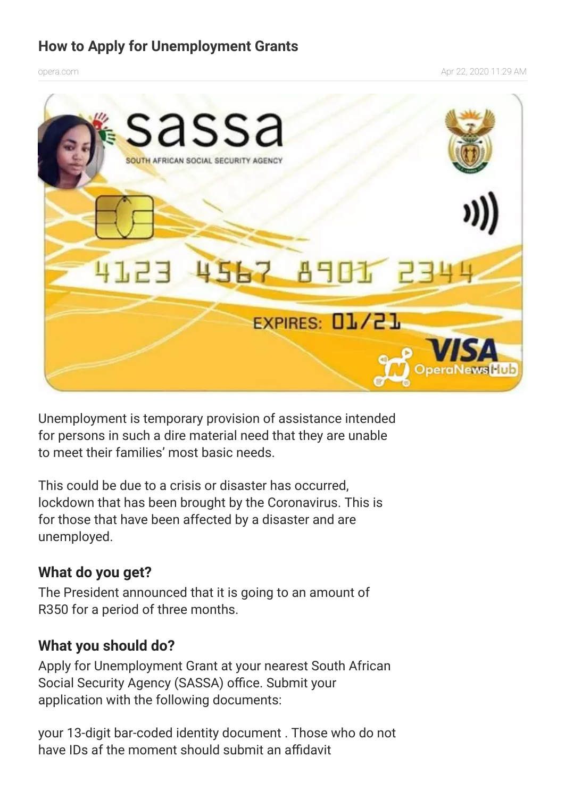# **How to Apply for Unemployment Grants**

opera.com



Unemployment is temporary provision of assistance intended for persons in such a dire material need that they are unable to meet their families' most basic needs.

This could be due to a crisis or disaster has occurred, lockdown that has been brought by the Coronavirus. This is for those that have been affected by a disaster and are unemployed.

#### **What do you get?**

The President announced that it is going to an amount of R350 for a period of three months.

## **What you should do?**

Apply for Unemployment Grant at your nearest South African Social Security Agency (SASSA) office. Submit your application with the following documents:

your 13-digit bar-coded identity document . Those who do not have IDs af the moment should submit an affidavit